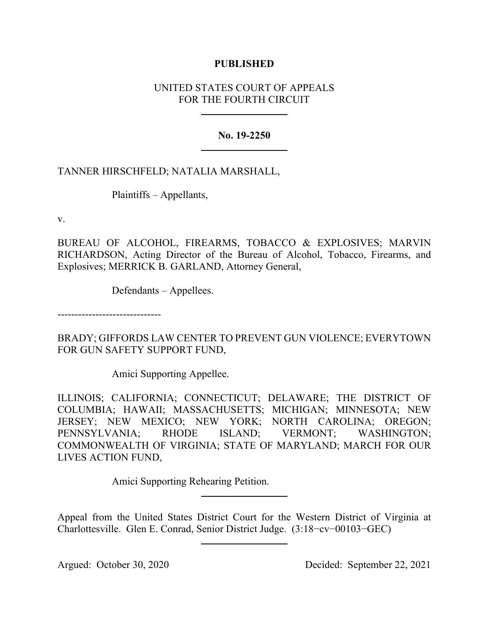### **PUBLISHED**

# UNITED STATES COURT OF APPEALS FOR THE FOURTH CIRCUIT

## **No. 19-2250**

# TANNER HIRSCHFELD; NATALIA MARSHALL,

Plaintiffs – Appellants,

v.

BUREAU OF ALCOHOL, FIREARMS, TOBACCO & EXPLOSIVES; MARVIN RICHARDSON, Acting Director of the Bureau of Alcohol, Tobacco, Firearms, and Explosives; MERRICK B. GARLAND, Attorney General,

Defendants – Appellees.

------------------------------

BRADY; GIFFORDS LAW CENTER TO PREVENT GUN VIOLENCE; EVERYTOWN FOR GUN SAFETY SUPPORT FUND,

Amici Supporting Appellee.

ILLINOIS; CALIFORNIA; CONNECTICUT; DELAWARE; THE DISTRICT OF COLUMBIA; HAWAII; MASSACHUSETTS; MICHIGAN; MINNESOTA; NEW JERSEY; NEW MEXICO; NEW YORK; NORTH CAROLINA; OREGON; PENNSYLVANIA; RHODE ISLAND; VERMONT; WASHINGTON; COMMONWEALTH OF VIRGINIA; STATE OF MARYLAND; MARCH FOR OUR LIVES ACTION FUND,

Amici Supporting Rehearing Petition.

Appeal from the United States District Court for the Western District of Virginia at Charlottesville. Glen E. Conrad, Senior District Judge. (3:18−cv−00103−GEC)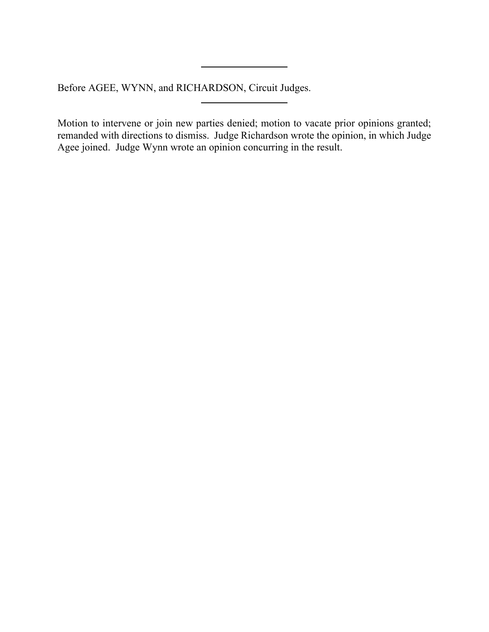Before AGEE, WYNN, and RICHARDSON, Circuit Judges.

Motion to intervene or join new parties denied; motion to vacate prior opinions granted; remanded with directions to dismiss. Judge Richardson wrote the opinion, in which Judge Agee joined. Judge Wynn wrote an opinion concurring in the result.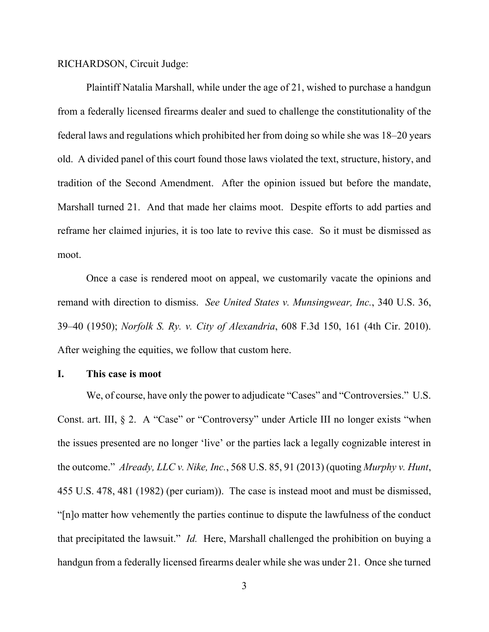RICHARDSON, Circuit Judge:

Plaintiff Natalia Marshall, while under the age of 21, wished to purchase a handgun from a federally licensed firearms dealer and sued to challenge the constitutionality of the federal laws and regulations which prohibited her from doing so while she was 18–20 years old. A divided panel of this court found those laws violated the text, structure, history, and tradition of the Second Amendment. After the opinion issued but before the mandate, Marshall turned 21. And that made her claims moot. Despite efforts to add parties and reframe her claimed injuries, it is too late to revive this case. So it must be dismissed as moot.

Once a case is rendered moot on appeal, we customarily vacate the opinions and remand with direction to dismiss. *See United States v. Munsingwear, Inc.*, 340 U.S. 36, 39–40 (1950); *Norfolk S. Ry. v. City of Alexandria*, 608 F.3d 150, 161 (4th Cir. 2010). After weighing the equities, we follow that custom here.

#### **I. This case is moot**

We, of course, have only the power to adjudicate "Cases" and "Controversies." U.S. Const. art. III, § 2. A "Case" or "Controversy" under Article III no longer exists "when the issues presented are no longer 'live' or the parties lack a legally cognizable interest in the outcome." *Already, LLC v. Nike, Inc.*, 568 U.S. 85, 91 (2013) (quoting *Murphy v. Hunt*, 455 U.S. 478, 481 (1982) (per curiam)). The case is instead moot and must be dismissed, "[n]o matter how vehemently the parties continue to dispute the lawfulness of the conduct that precipitated the lawsuit." *Id.* Here, Marshall challenged the prohibition on buying a handgun from a federally licensed firearms dealer while she was under 21. Once she turned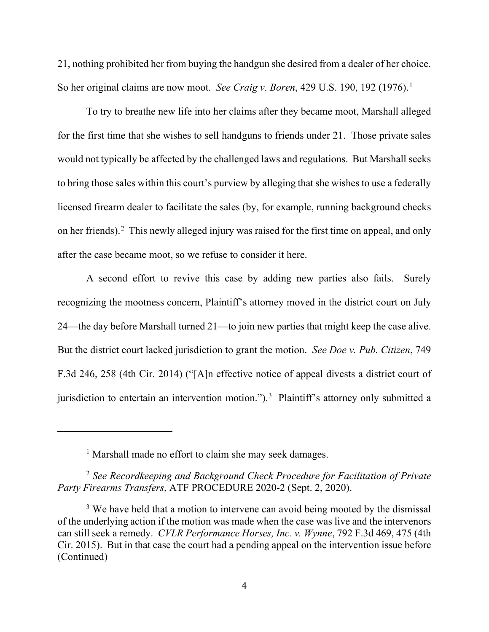21, nothing prohibited her from buying the handgun she desired from a dealer of her choice. So her original claims are now moot. *See Craig v. Boren*, 429 U.S. 190, 192 (1976).[1](#page-3-0)

To try to breathe new life into her claims after they became moot, Marshall alleged for the first time that she wishes to sell handguns to friends under 21. Those private sales would not typically be affected by the challenged laws and regulations. But Marshall seeks to bring those sales within this court's purview by alleging that she wishes to use a federally licensed firearm dealer to facilitate the sales (by, for example, running background checks on her friends). [2](#page-3-1) This newly alleged injury was raised for the first time on appeal, and only after the case became moot, so we refuse to consider it here.

A second effort to revive this case by adding new parties also fails. Surely recognizing the mootness concern, Plaintiff's attorney moved in the district court on July 24—the day before Marshall turned 21—to join new parties that might keep the case alive. But the district court lacked jurisdiction to grant the motion. *See Doe v. Pub. Citizen*, 749 F.3d 246, 258 (4th Cir. 2014) ("[A]n effective notice of appeal divests a district court of jurisdiction to entertain an intervention motion.").<sup>[3](#page-3-2)</sup> Plaintiff's attorney only submitted a

<sup>&</sup>lt;sup>1</sup> Marshall made no effort to claim she may seek damages.

<span id="page-3-1"></span><span id="page-3-0"></span><sup>2</sup> *See Recordkeeping and Background Check Procedure for Facilitation of Private Party Firearms Transfers*, ATF PROCEDURE 2020-2 (Sept. 2, 2020).

<span id="page-3-2"></span><sup>&</sup>lt;sup>3</sup> We have held that a motion to intervene can avoid being mooted by the dismissal of the underlying action if the motion was made when the case was live and the intervenors can still seek a remedy. *CVLR Performance Horses, Inc. v. Wynne*, 792 F.3d 469, 475 (4th Cir. 2015). But in that case the court had a pending appeal on the intervention issue before (Continued)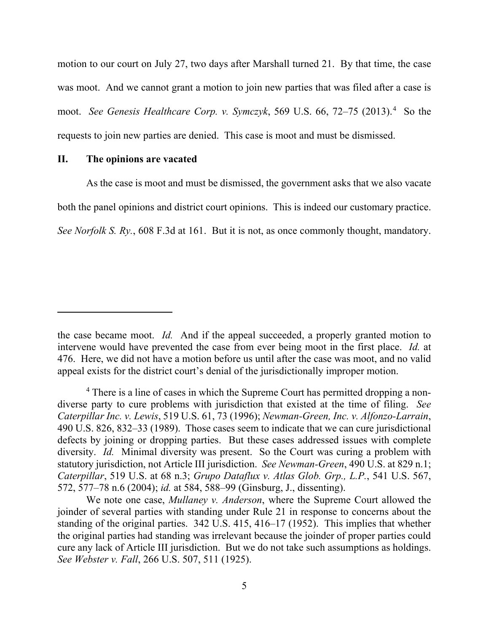motion to our court on July 27, two days after Marshall turned 21. By that time, the case was moot. And we cannot grant a motion to join new parties that was filed after a case is moot. See Genesis Healthcare Corp. v. Symczyk, 569 U.S. 66, 72–75 (2013).<sup>[4](#page-4-0)</sup> So the requests to join new parties are denied. This case is moot and must be dismissed.

#### **II. The opinions are vacated**

As the case is moot and must be dismissed, the government asks that we also vacate both the panel opinions and district court opinions. This is indeed our customary practice. *See Norfolk S. Ry.*, 608 F.3d at 161. But it is not, as once commonly thought, mandatory.

the case became moot. *Id.* And if the appeal succeeded, a properly granted motion to intervene would have prevented the case from ever being moot in the first place. *Id.* at 476. Here, we did not have a motion before us until after the case was moot, and no valid appeal exists for the district court's denial of the jurisdictionally improper motion.

<span id="page-4-0"></span><sup>&</sup>lt;sup>4</sup> There is a line of cases in which the Supreme Court has permitted dropping a nondiverse party to cure problems with jurisdiction that existed at the time of filing. *See Caterpillar Inc. v. Lewis*, 519 U.S. 61, 73 (1996); *Newman-Green, Inc. v. Alfonzo-Larrain*, 490 U.S. 826, 832–33 (1989). Those cases seem to indicate that we can cure jurisdictional defects by joining or dropping parties. But these cases addressed issues with complete diversity. *Id.* Minimal diversity was present. So the Court was curing a problem with statutory jurisdiction, not Article III jurisdiction. *See Newman-Green*, 490 U.S. at 829 n.1; *Caterpillar*, 519 U.S. at 68 n.3; *Grupo Dataflux v. Atlas Glob. Grp., L.P.*, 541 U.S. 567, 572, 577–78 n.6 (2004); *id.* at 584, 588–99 (Ginsburg, J., dissenting).

We note one case, *Mullaney v. Anderson*, where the Supreme Court allowed the joinder of several parties with standing under Rule 21 in response to concerns about the standing of the original parties. 342 U.S. 415, 416–17 (1952). This implies that whether the original parties had standing was irrelevant because the joinder of proper parties could cure any lack of Article III jurisdiction. But we do not take such assumptions as holdings. *See Webster v. Fall*, 266 U.S. 507, 511 (1925).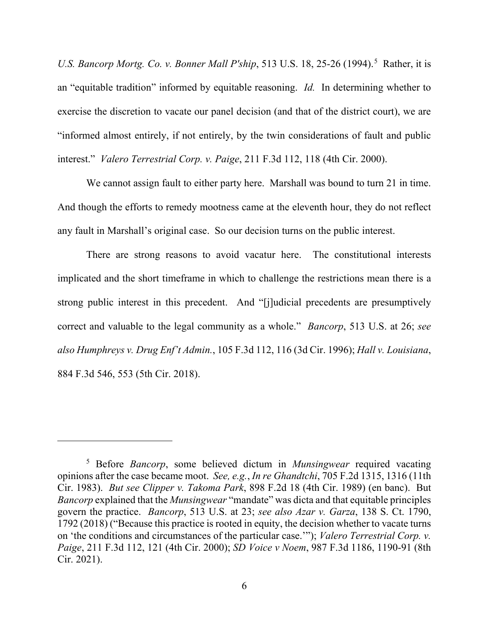*U.S. Bancorp Mortg. Co. v. Bonner Mall P'ship*, [5](#page-5-0)13 U.S. 18, 25-26 (1994).<sup>5</sup> Rather, it is an "equitable tradition" informed by equitable reasoning. *Id.* In determining whether to exercise the discretion to vacate our panel decision (and that of the district court), we are "informed almost entirely, if not entirely, by the twin considerations of fault and public interest." *Valero Terrestrial Corp. v. Paige*, 211 F.3d 112, 118 (4th Cir. 2000).

We cannot assign fault to either party here. Marshall was bound to turn 21 in time. And though the efforts to remedy mootness came at the eleventh hour, they do not reflect any fault in Marshall's original case. So our decision turns on the public interest.

There are strong reasons to avoid vacatur here. The constitutional interests implicated and the short timeframe in which to challenge the restrictions mean there is a strong public interest in this precedent. And "[j]udicial precedents are presumptively correct and valuable to the legal community as a whole." *Bancorp*, 513 U.S. at 26; *see also Humphreys v. Drug Enf't Admin.*, 105 F.3d 112, 116 (3d Cir. 1996); *Hall v. Louisiana*, 884 F.3d 546, 553 (5th Cir. 2018).

<span id="page-5-0"></span><sup>5</sup> Before *Bancorp*, some believed dictum in *Munsingwear* required vacating opinions after the case became moot. *See, e.g.*, *In re Ghandtchi*, 705 F.2d 1315, 1316 (11th Cir. 1983). *But see Clipper v. Takoma Park*, 898 F.2d 18 (4th Cir. 1989) (en banc). But *Bancorp* explained that the *Munsingwear* "mandate" was dicta and that equitable principles govern the practice. *Bancorp*, 513 U.S. at 23; *see also Azar v. Garza*, 138 S. Ct. 1790, 1792 (2018) ("Because this practice is rooted in equity, the decision whether to vacate turns on 'the conditions and circumstances of the particular case.'"); *Valero Terrestrial Corp. v. Paige*, 211 F.3d 112, 121 (4th Cir. 2000); *SD Voice v Noem*, 987 F.3d 1186, 1190-91 (8th Cir. 2021).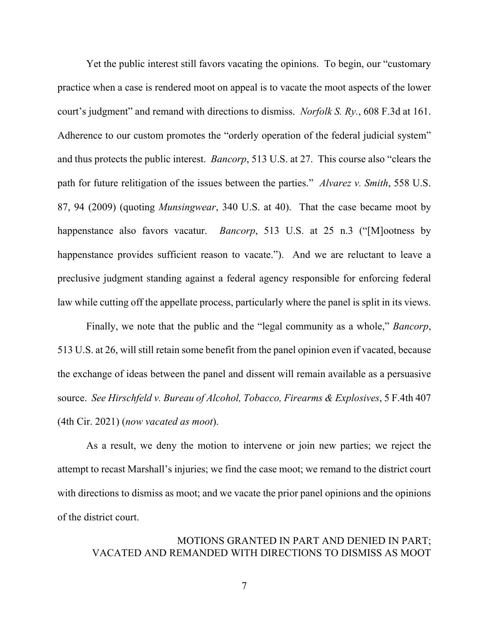Yet the public interest still favors vacating the opinions. To begin, our "customary practice when a case is rendered moot on appeal is to vacate the moot aspects of the lower court's judgment" and remand with directions to dismiss. *Norfolk S. Ry.*, 608 F.3d at 161. Adherence to our custom promotes the "orderly operation of the federal judicial system" and thus protects the public interest. *Bancorp*, 513 U.S. at 27. This course also "clears the path for future relitigation of the issues between the parties." *Alvarez v. Smith*, 558 U.S. 87, 94 (2009) (quoting *Munsingwear*, 340 U.S. at 40). That the case became moot by happenstance also favors vacatur. *Bancorp*, 513 U.S. at 25 n.3 ("[M]ootness by happenstance provides sufficient reason to vacate."). And we are reluctant to leave a preclusive judgment standing against a federal agency responsible for enforcing federal law while cutting off the appellate process, particularly where the panel is split in its views.

Finally, we note that the public and the "legal community as a whole," *Bancorp*, 513 U.S. at 26, will still retain some benefit from the panel opinion even if vacated, because the exchange of ideas between the panel and dissent will remain available as a persuasive source. *See Hirschfeld v. Bureau of Alcohol, Tobacco, Firearms & Explosives*, 5 F.4th 407 (4th Cir. 2021) (*now vacated as moot*).

As a result, we deny the motion to intervene or join new parties; we reject the attempt to recast Marshall's injuries; we find the case moot; we remand to the district court with directions to dismiss as moot; and we vacate the prior panel opinions and the opinions of the district court.

## MOTIONS GRANTED IN PART AND DENIED IN PART; VACATED AND REMANDED WITH DIRECTIONS TO DISMISS AS MOOT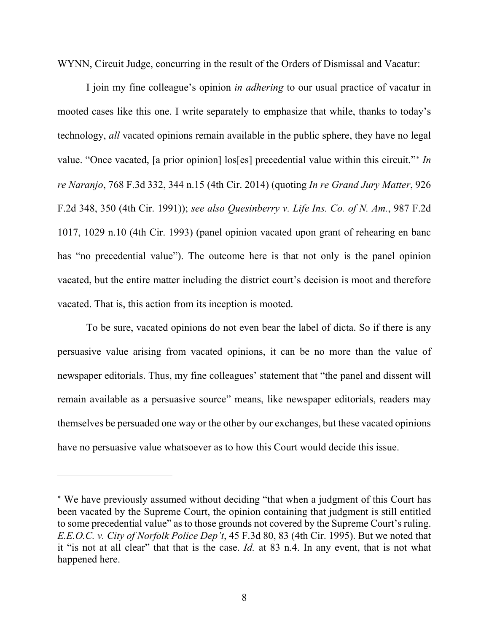WYNN, Circuit Judge, concurring in the result of the Orders of Dismissal and Vacatur:

I join my fine colleague's opinion *in adhering* to our usual practice of vacatur in mooted cases like this one. I write separately to emphasize that while, thanks to today's technology, *all* vacated opinions remain available in the public sphere, they have no legal value. "Once vacated, [a prior opinion] los[es] precedential value within this circuit."[∗](#page-7-0) *In re Naranjo*, 768 F.3d 332, 344 n.15 (4th Cir. 2014) (quoting *In re Grand Jury Matter*, 926 F.2d 348, 350 (4th Cir. 1991)); *see also Quesinberry v. Life Ins. Co. of N. Am.*, 987 F.2d 1017, 1029 n.10 (4th Cir. 1993) (panel opinion vacated upon grant of rehearing en banc has "no precedential value"). The outcome here is that not only is the panel opinion vacated, but the entire matter including the district court's decision is moot and therefore vacated. That is, this action from its inception is mooted.

To be sure, vacated opinions do not even bear the label of dicta. So if there is any persuasive value arising from vacated opinions, it can be no more than the value of newspaper editorials. Thus, my fine colleagues' statement that "the panel and dissent will remain available as a persuasive source" means, like newspaper editorials, readers may themselves be persuaded one way or the other by our exchanges, but these vacated opinions have no persuasive value whatsoever as to how this Court would decide this issue.

<span id="page-7-0"></span><sup>∗</sup> We have previously assumed without deciding "that when a judgment of this Court has been vacated by the Supreme Court, the opinion containing that judgment is still entitled to some precedential value" as to those grounds not covered by the Supreme Court's ruling. *E.E.O.C. v. City of Norfolk Police Dep't*, 45 F.3d 80, 83 (4th Cir. 1995). But we noted that it "is not at all clear" that that is the case. *Id.* at 83 n.4. In any event, that is not what happened here.